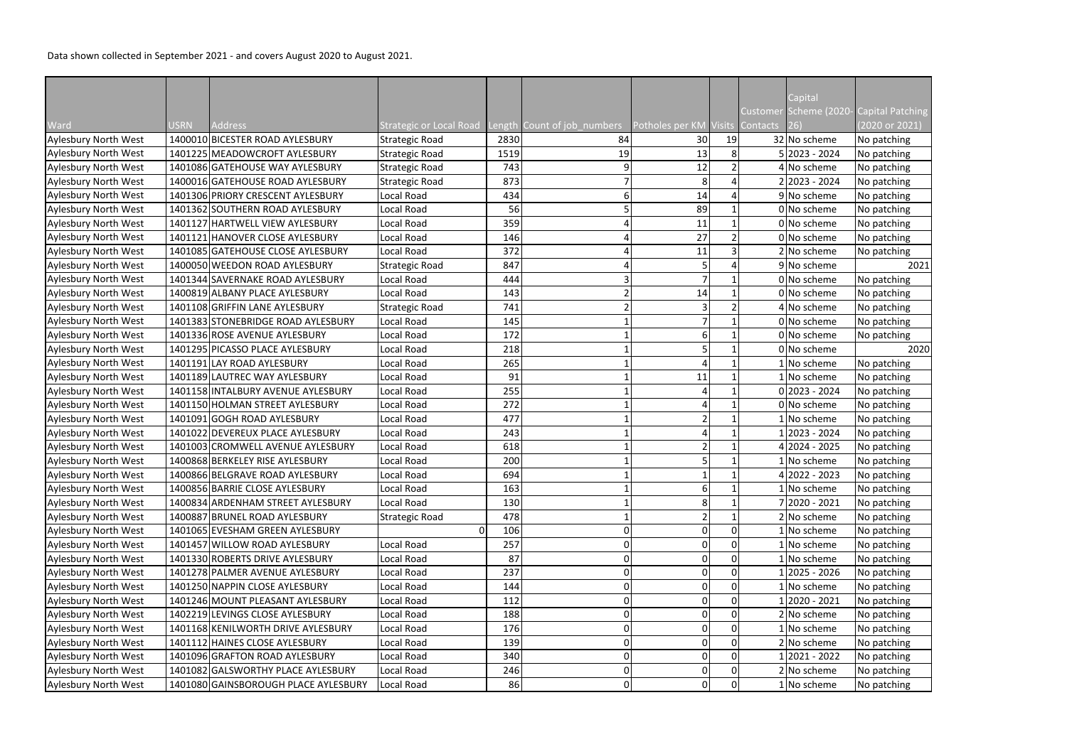|                             |      |                                      |                                |      |                             |                                 |          | Capital         |                                         |
|-----------------------------|------|--------------------------------------|--------------------------------|------|-----------------------------|---------------------------------|----------|-----------------|-----------------------------------------|
|                             |      |                                      |                                |      |                             |                                 |          |                 | Customer Scheme (2020- Capital Patching |
| Ward                        | USRN | Address                              | <b>Strategic or Local Road</b> |      | Length Count of job numbers | Potholes per KM Visits Contacts |          | $ 26\rangle$    | (2020 or 2021)                          |
| Aylesbury North West        |      | 1400010 BICESTER ROAD AYLESBURY      | <b>Strategic Road</b>          | 2830 | 84                          | 30                              | 19       | 32 No scheme    | No patching                             |
| <b>Aylesbury North West</b> |      | 1401225 MEADOWCROFT AYLESBURY        | <b>Strategic Road</b>          | 1519 | 19                          | 13                              | 8        | $5 2023 - 2024$ | No patching                             |
| <b>Aylesbury North West</b> |      | 1401086 GATEHOUSE WAY AYLESBURY      | <b>Strategic Road</b>          | 743  |                             | 12                              |          | 4 No scheme     | No patching                             |
| <b>Aylesbury North West</b> |      | 1400016 GATEHOUSE ROAD AYLESBURY     | <b>Strategic Road</b>          | 873  |                             | 8                               |          | 2 2023 - 2024   | No patching                             |
| <b>Aylesbury North West</b> |      | 1401306 PRIORY CRESCENT AYLESBURY    | Local Road                     | 434  | 6                           | 14                              |          | 9 No scheme     | No patching                             |
| <b>Aylesbury North West</b> |      | 1401362 SOUTHERN ROAD AYLESBURY      | Local Road                     | 56   |                             | 89                              |          | 0 No scheme     | No patching                             |
| <b>Aylesbury North West</b> |      | 1401127 HARTWELL VIEW AYLESBURY      | Local Road                     | 359  |                             | 11                              |          | 0 No scheme     | No patching                             |
| Aylesbury North West        |      | 1401121 HANOVER CLOSE AYLESBURY      | Local Road                     | 146  |                             | 27                              |          | 0 No scheme     | No patching                             |
| <b>Aylesbury North West</b> |      | 1401085 GATEHOUSE CLOSE AYLESBURY    | Local Road                     | 372  |                             | 11                              | 3        | 2 No scheme     | No patching                             |
| Aylesbury North West        |      | 1400050 WEEDON ROAD AYLESBURY        | <b>Strategic Road</b>          | 847  |                             |                                 |          | 9 No scheme     | 2021                                    |
| <b>Aylesbury North West</b> |      | 1401344 SAVERNAKE ROAD AYLESBURY     | Local Road                     | 444  |                             |                                 |          | 0 No scheme     | No patching                             |
| <b>Aylesbury North West</b> |      | 1400819 ALBANY PLACE AYLESBURY       | Local Road                     | 143  |                             | 14                              |          | 0 No scheme     | No patching                             |
| Aylesbury North West        |      | 1401108 GRIFFIN LANE AYLESBURY       | <b>Strategic Road</b>          | 741  |                             |                                 |          | 4 No scheme     | No patching                             |
| <b>Aylesbury North West</b> |      | 1401383 STONEBRIDGE ROAD AYLESBURY   | Local Road                     | 145  |                             |                                 |          | $0 $ No scheme  | No patching                             |
| <b>Aylesbury North West</b> |      | 1401336 ROSE AVENUE AYLESBURY        | Local Road                     | 172  |                             |                                 |          | 0 No scheme     | No patching                             |
| <b>Aylesbury North West</b> |      | 1401295 PICASSO PLACE AYLESBURY      | Local Road                     | 218  |                             |                                 |          | 0 No scheme     | 2020                                    |
| <b>Aylesbury North West</b> |      | 1401191 LAY ROAD AYLESBURY           | Local Road                     | 265  |                             |                                 |          | 1 No scheme     | No patching                             |
| <b>Aylesbury North West</b> |      | 1401189 LAUTREC WAY AYLESBURY        | Local Road                     | 91   |                             | 11                              |          | $1$ No scheme   | No patching                             |
| <b>Aylesbury North West</b> |      | 1401158 INTALBURY AVENUE AYLESBURY   | Local Road                     | 255  |                             |                                 |          | $0 2023 - 2024$ | No patching                             |
| Aylesbury North West        |      | 1401150 HOLMAN STREET AYLESBURY      | Local Road                     | 272  |                             |                                 |          | 0 No scheme     | No patching                             |
| <b>Aylesbury North West</b> |      | 1401091 GOGH ROAD AYLESBURY          | Local Road                     | 477  |                             |                                 |          | 1 No scheme     | No patching                             |
| <b>Aylesbury North West</b> |      | 1401022 DEVEREUX PLACE AYLESBURY     | Local Road                     | 243  |                             |                                 |          | 1 2023 - 2024   | No patching                             |
| Aylesbury North West        |      | 1401003 CROMWELL AVENUE AYLESBURY    | Local Road                     | 618  |                             |                                 |          | 4 2024 - 2025   | No patching                             |
| <b>Aylesbury North West</b> |      | 1400868 BERKELEY RISE AYLESBURY      | Local Road                     | 200  |                             |                                 |          | 1 No scheme     | No patching                             |
| Aylesbury North West        |      | 1400866 BELGRAVE ROAD AYLESBURY      | Local Road                     | 694  |                             |                                 |          | $4 2022 - 2023$ | No patching                             |
| Aylesbury North West        |      | 1400856 BARRIE CLOSE AYLESBURY       | Local Road                     | 163  |                             |                                 |          | 1 No scheme     | No patching                             |
| <b>Aylesbury North West</b> |      | 1400834 ARDENHAM STREET AYLESBURY    | Local Road                     | 130  |                             |                                 |          | 7 2020 - 2021   | No patching                             |
| <b>Aylesbury North West</b> |      | 1400887 BRUNEL ROAD AYLESBURY        | <b>Strategic Road</b>          | 478  |                             |                                 |          | 2 No scheme     | No patching                             |
| <b>Aylesbury North West</b> |      | 1401065 EVESHAM GREEN AYLESBURY      |                                | 106  |                             |                                 |          | $1$ No scheme   | No patching                             |
| <b>Aylesbury North West</b> |      | 1401457 WILLOW ROAD AYLESBURY        | Local Road                     | 257  |                             |                                 |          | 1 No scheme     | No patching                             |
| <b>Aylesbury North West</b> |      | 1401330 ROBERTS DRIVE AYLESBURY      | Local Road                     | 87   | 0                           |                                 |          | 1 No scheme     | No patching                             |
| <b>Aylesbury North West</b> |      | 1401278 PALMER AVENUE AYLESBURY      | Local Road                     | 237  |                             |                                 |          | 1 2025 - 2026   | No patching                             |
| <b>Aylesbury North West</b> |      | 1401250 NAPPIN CLOSE AYLESBURY       | Local Road                     | 144  | 0                           |                                 |          | 1 No scheme     | No patching                             |
| <b>Aylesbury North West</b> |      | 1401246 MOUNT PLEASANT AYLESBURY     | Local Road                     | 112  | 01                          |                                 |          | 1 2020 - 2021   | No patching                             |
| <b>Aylesbury North West</b> |      | 1402219 LEVINGS CLOSE AYLESBURY      | Local Road                     | 188  | 0                           |                                 |          | 2 No scheme     | No patching                             |
| Aylesbury North West        |      | 1401168 KENILWORTH DRIVE AYLESBURY   | Local Road                     | 176  | 0                           |                                 |          | 1 No scheme     | No patching                             |
| <b>Aylesbury North West</b> |      | 1401112 HAINES CLOSE AYLESBURY       | Local Road                     | 139  | 0                           |                                 |          | 2 No scheme     | No patching                             |
| <b>Aylesbury North West</b> |      | 1401096 GRAFTON ROAD AYLESBURY       | Local Road                     | 340  | 0                           |                                 |          | 1 2021 - 2022   | No patching                             |
| <b>Aylesbury North West</b> |      | 1401082 GALSWORTHY PLACE AYLESBURY   | Local Road                     | 246  | 0                           |                                 |          | 2 No scheme     | No patching                             |
| <b>Aylesbury North West</b> |      | 1401080 GAINSBOROUGH PLACE AYLESBURY | Local Road                     | 86   | 01                          |                                 | $\Omega$ | 1 No scheme     | No patching                             |
|                             |      |                                      |                                |      |                             |                                 |          |                 |                                         |